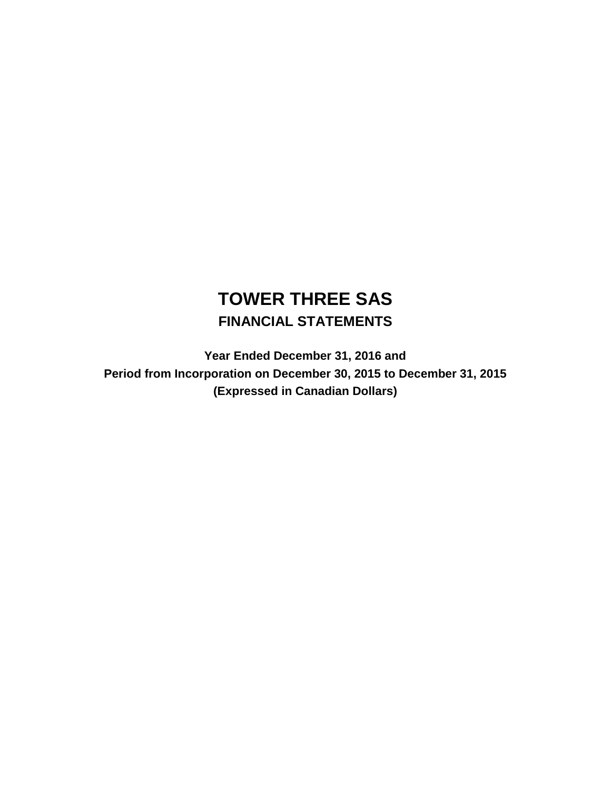# **TOWER THREE SAS FINANCIAL STATEMENTS**

**Year Ended December 31, 2016 and Period from Incorporation on December 30, 2015 to December 31, 2015 (Expressed in Canadian Dollars)**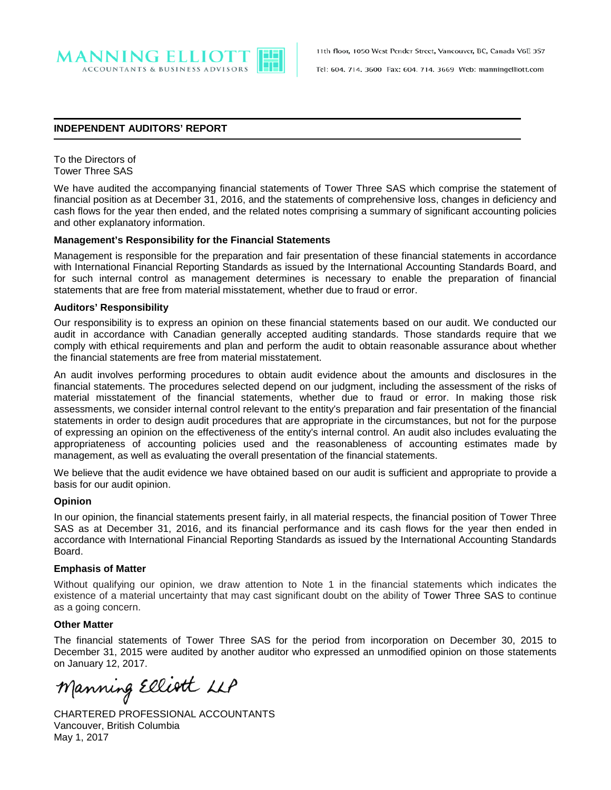

Tel: 604. 714. 3600 Fax: 604. 714. 3669 Web: manningelliott.com

#### **INDEPENDENT AUDITORS' REPORT**

To the Directors of Tower Three SAS

We have audited the accompanying financial statements of Tower Three SAS which comprise the statement of financial position as at December 31, 2016, and the statements of comprehensive loss, changes in deficiency and cash flows for the year then ended, and the related notes comprising a summary of significant accounting policies and other explanatory information.

#### **Management's Responsibility for the Financial Statements**

Management is responsible for the preparation and fair presentation of these financial statements in accordance with International Financial Reporting Standards as issued by the International Accounting Standards Board, and for such internal control as management determines is necessary to enable the preparation of financial statements that are free from material misstatement, whether due to fraud or error.

#### **Auditors' Responsibility**

Our responsibility is to express an opinion on these financial statements based on our audit. We conducted our audit in accordance with Canadian generally accepted auditing standards. Those standards require that we comply with ethical requirements and plan and perform the audit to obtain reasonable assurance about whether the financial statements are free from material misstatement.

An audit involves performing procedures to obtain audit evidence about the amounts and disclosures in the financial statements. The procedures selected depend on our judgment, including the assessment of the risks of material misstatement of the financial statements, whether due to fraud or error. In making those risk assessments, we consider internal control relevant to the entity's preparation and fair presentation of the financial statements in order to design audit procedures that are appropriate in the circumstances, but not for the purpose of expressing an opinion on the effectiveness of the entity's internal control. An audit also includes evaluating the appropriateness of accounting policies used and the reasonableness of accounting estimates made by management, as well as evaluating the overall presentation of the financial statements.

We believe that the audit evidence we have obtained based on our audit is sufficient and appropriate to provide a basis for our audit opinion.

#### **Opinion**

In our opinion, the financial statements present fairly, in all material respects, the financial position of Tower Three SAS as at December 31, 2016, and its financial performance and its cash flows for the year then ended in accordance with International Financial Reporting Standards as issued by the International Accounting Standards Board.

#### **Emphasis of Matter**

Without qualifying our opinion, we draw attention to Note 1 in the financial statements which indicates the existence of a material uncertainty that may cast significant doubt on the ability of Tower Three SAS to continue as a going concern.

#### **Other Matter**

The financial statements of Tower Three SAS for the period from incorporation on December 30, 2015 to December 31, 2015 were audited by another auditor who expressed an unmodified opinion on those statements on January 12, 2017.

Manning Elliott LLP

CHARTERED PROFESSIONAL ACCOUNTANTS Vancouver, British Columbia May 1, 2017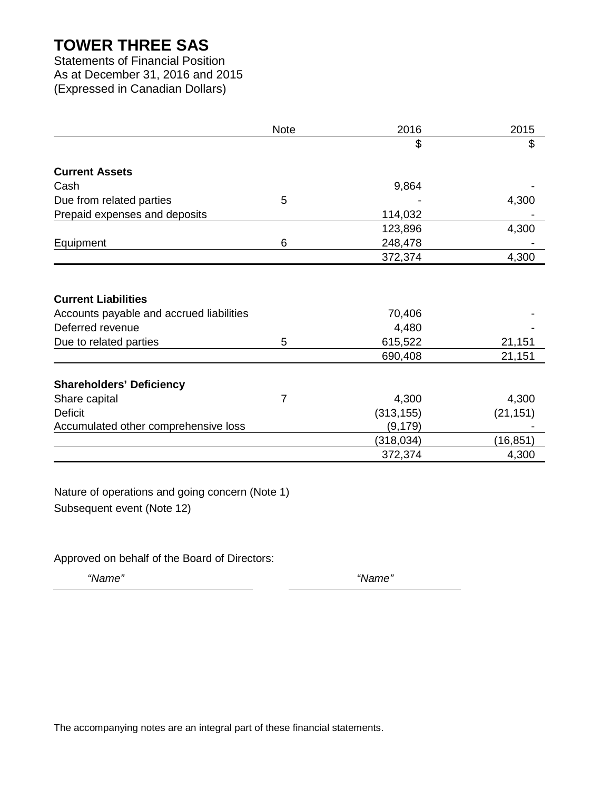Statements of Financial Position As at December 31, 2016 and 2015 (Expressed in Canadian Dollars)

|                                          | <b>Note</b>    | 2016       | 2015      |
|------------------------------------------|----------------|------------|-----------|
|                                          |                | \$         | \$        |
| <b>Current Assets</b>                    |                |            |           |
| Cash                                     |                | 9,864      |           |
| Due from related parties                 | 5              |            | 4,300     |
| Prepaid expenses and deposits            |                | 114,032    |           |
|                                          |                | 123,896    | 4,300     |
| Equipment                                | 6              | 248,478    |           |
|                                          |                | 372,374    | 4,300     |
|                                          |                |            |           |
| <b>Current Liabilities</b>               |                |            |           |
| Accounts payable and accrued liabilities |                | 70,406     |           |
| Deferred revenue                         |                | 4,480      |           |
| Due to related parties                   | 5              | 615,522    | 21,151    |
|                                          |                | 690,408    | 21,151    |
| <b>Shareholders' Deficiency</b>          |                |            |           |
| Share capital                            | $\overline{7}$ | 4,300      | 4,300     |
| <b>Deficit</b>                           |                | (313, 155) | (21, 151) |
| Accumulated other comprehensive loss     |                | (9, 179)   |           |
|                                          |                | (318, 034) | (16, 851) |
|                                          |                | 372,374    | 4,300     |

Nature of operations and going concern (Note 1) Subsequent event (Note 12)

Approved on behalf of the Board of Directors:

*"Name" "Name"*

The accompanying notes are an integral part of these financial statements.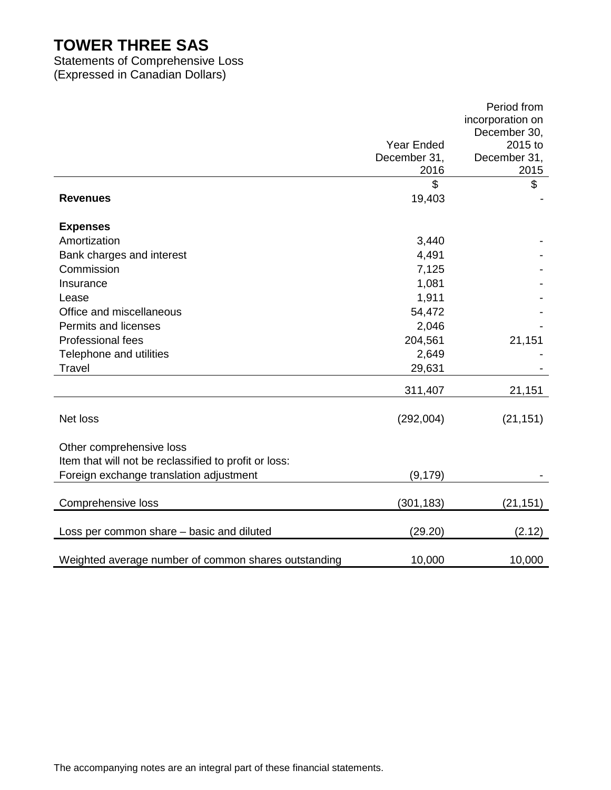Statements of Comprehensive Loss (Expressed in Canadian Dollars)

Year Ended December 31, 2016 Period from incorporation on December 30, 2015 to December 31, 2015  $\textcircled{\scriptsize{s}}$  ... **Revenues 19,403** - **19,403 Expenses** Amortization 3,440 Bank charges and interest 4,491 Commission 7,125 - Insurance and the set of the set of the set of the set of the set of the set of the set of the set of the set o  $\sf{Lease}$  . The contract of the contract of the contract of the contract of the contract of the contract of the contract of the contract of the contract of the contract of the contract of the contract of the contract of th Office and miscellaneous 54,472 Permits and licenses 2,046 Professional fees 204,561 21,151 Telephone and utilities **2,649** - 2,649 Travel 29,631 - 311,407 21,151 Net loss (292,004) (21,151) Other comprehensive loss Item that will not be reclassified to profit or loss: Foreign exchange translation adjustment (9,179) Comprehensive loss (301,183) (21,151) Loss per common share – basic and diluted (29.20) (2.12) Weighted average number of common shares outstanding 10,000 10,000 10,000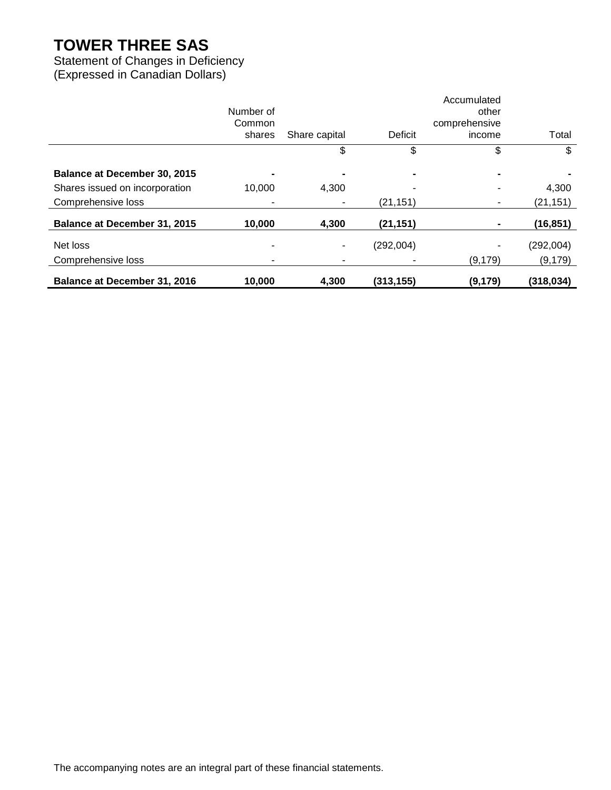Statement of Changes in Deficiency (Expressed in Canadian Dollars)

|                                     | Number of<br>Common |               |            | Accumulated<br>other<br>comprehensive |           |
|-------------------------------------|---------------------|---------------|------------|---------------------------------------|-----------|
|                                     | shares              | Share capital | Deficit    | income                                | Total     |
|                                     |                     | \$            | \$         | \$                                    | \$        |
| <b>Balance at December 30, 2015</b> |                     |               |            |                                       |           |
| Shares issued on incorporation      | 10,000              | 4,300         |            |                                       | 4,300     |
| Comprehensive loss                  |                     |               | (21, 151)  |                                       | (21, 151) |
| <b>Balance at December 31, 2015</b> | 10,000              | 4,300         | (21, 151)  |                                       | (16,851)  |
| Net loss                            |                     |               | (292,004)  |                                       | (292,004) |
| Comprehensive loss                  |                     |               |            | (9, 179)                              | (9, 179)  |
| <b>Balance at December 31, 2016</b> | 10,000              | 4.300         | (313, 155) | (9, 179)                              | (318,034) |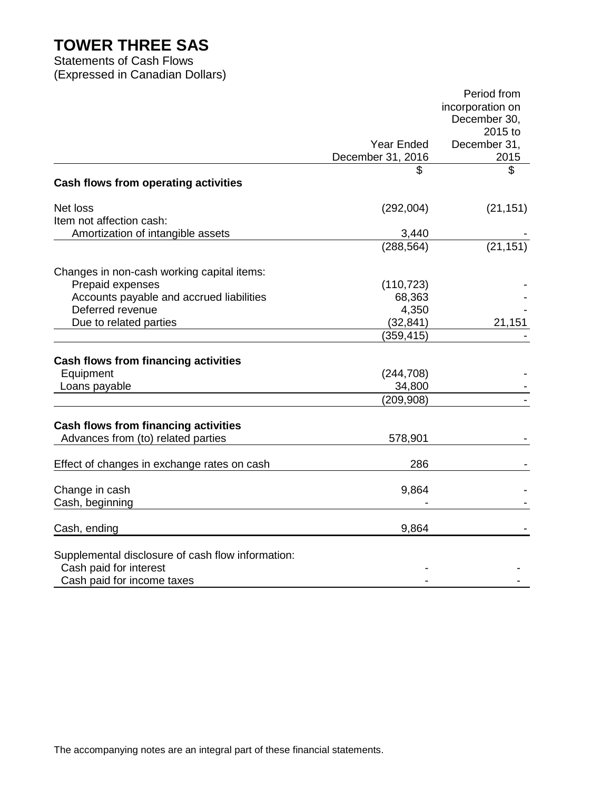Statements of Cash Flows

(Expressed in Canadian Dollars)

|                                                      |                                        | Period from<br>incorporation on<br>December 30, |
|------------------------------------------------------|----------------------------------------|-------------------------------------------------|
|                                                      | <b>Year Ended</b><br>December 31, 2016 | 2015 to<br>December 31,<br>2015                 |
| Cash flows from operating activities                 | \$                                     | \$                                              |
| Net loss                                             | (292,004)                              | (21, 151)                                       |
| Item not affection cash:                             |                                        |                                                 |
| Amortization of intangible assets                    | 3,440                                  |                                                 |
|                                                      | (288, 564)                             | (21, 151)                                       |
| Changes in non-cash working capital items:           |                                        |                                                 |
| Prepaid expenses                                     | (110, 723)                             |                                                 |
| Accounts payable and accrued liabilities             | 68,363                                 |                                                 |
| Deferred revenue                                     | 4,350                                  |                                                 |
| Due to related parties                               | (32, 841)                              | 21,151                                          |
|                                                      | (359, 415)                             |                                                 |
|                                                      |                                        |                                                 |
| <b>Cash flows from financing activities</b>          |                                        |                                                 |
| Equipment                                            | (244, 708)                             |                                                 |
| Loans payable                                        | 34,800                                 |                                                 |
|                                                      | (209, 908)                             |                                                 |
| <b>Cash flows from financing activities</b>          |                                        |                                                 |
| Advances from (to) related parties                   | 578,901                                |                                                 |
|                                                      |                                        |                                                 |
| Effect of changes in exchange rates on cash          | 286                                    |                                                 |
|                                                      |                                        |                                                 |
| Change in cash                                       | 9,864                                  |                                                 |
| Cash, beginning                                      |                                        |                                                 |
| Cash, ending                                         | 9,864                                  |                                                 |
| Supplemental disclosure of cash flow information:    |                                        |                                                 |
| Cash paid for interest<br>Cash paid for income taxes |                                        |                                                 |
|                                                      |                                        |                                                 |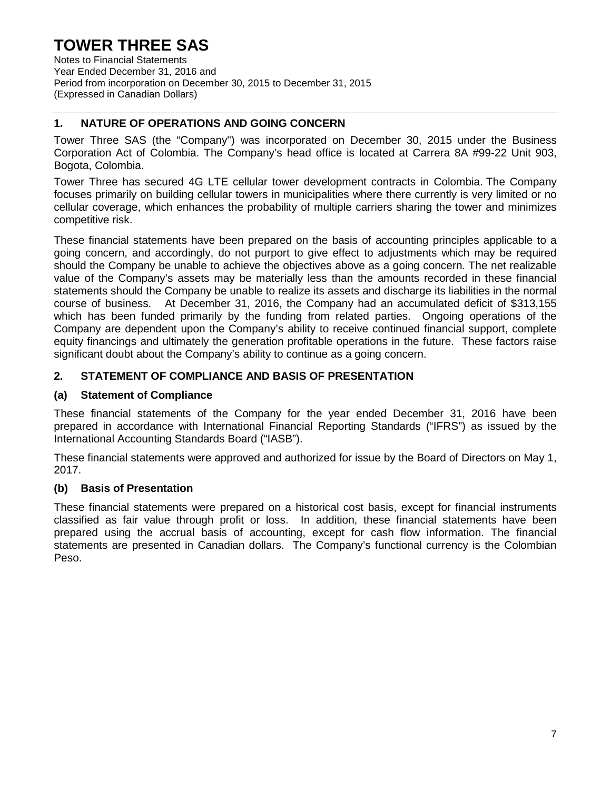Notes to Financial Statements Year Ended December 31, 2016 and Period from incorporation on December 30, 2015 to December 31, 2015 (Expressed in Canadian Dollars)

## **1. NATURE OF OPERATIONS AND GOING CONCERN**

Tower Three SAS (the "Company") was incorporated on December 30, 2015 under the Business Corporation Act of Colombia. The Company's head office is located at Carrera 8A #99-22 Unit 903, Bogota, Colombia.

Tower Three has secured 4G LTE cellular tower development contracts in Colombia. The Company focuses primarily on building cellular towers in municipalities where there currently is very limited or no cellular coverage, which enhances the probability of multiple carriers sharing the tower and minimizes competitive risk.

These financial statements have been prepared on the basis of accounting principles applicable to a going concern, and accordingly, do not purport to give effect to adjustments which may be required should the Company be unable to achieve the objectives above as a going concern. The net realizable value of the Company's assets may be materially less than the amounts recorded in these financial statements should the Company be unable to realize its assets and discharge its liabilities in the normal course of business. At December 31, 2016, the Company had an accumulated deficit of \$313,155 which has been funded primarily by the funding from related parties. Ongoing operations of the Company are dependent upon the Company's ability to receive continued financial support, complete equity financings and ultimately the generation profitable operations in the future. These factors raise significant doubt about the Company's ability to continue as a going concern.

## **2. STATEMENT OF COMPLIANCE AND BASIS OF PRESENTATION**

## **(a) Statement of Compliance**

These financial statements of the Company for the year ended December 31, 2016 have been prepared in accordance with International Financial Reporting Standards ("IFRS") as issued by the International Accounting Standards Board ("IASB").

These financial statements were approved and authorized for issue by the Board of Directors on May 1, 2017.

## **(b) Basis of Presentation**

These financial statements were prepared on a historical cost basis, except for financial instruments classified as fair value through profit or loss. In addition, these financial statements have been prepared using the accrual basis of accounting, except for cash flow information. The financial statements are presented in Canadian dollars. The Company's functional currency is the Colombian Peso.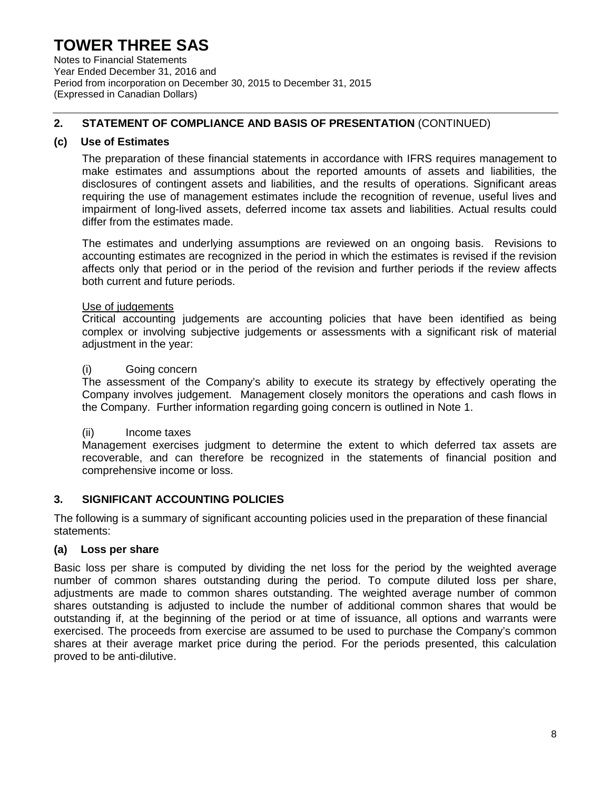Notes to Financial Statements Year Ended December 31, 2016 and Period from incorporation on December 30, 2015 to December 31, 2015 (Expressed in Canadian Dollars)

## **2. STATEMENT OF COMPLIANCE AND BASIS OF PRESENTATION** (CONTINUED)

#### **(c) Use of Estimates**

The preparation of these financial statements in accordance with IFRS requires management to make estimates and assumptions about the reported amounts of assets and liabilities, the disclosures of contingent assets and liabilities, and the results of operations. Significant areas requiring the use of management estimates include the recognition of revenue, useful lives and impairment of long-lived assets, deferred income tax assets and liabilities. Actual results could differ from the estimates made.

The estimates and underlying assumptions are reviewed on an ongoing basis. Revisions to accounting estimates are recognized in the period in which the estimates is revised if the revision affects only that period or in the period of the revision and further periods if the review affects both current and future periods.

#### Use of judgements

Critical accounting judgements are accounting policies that have been identified as being complex or involving subjective judgements or assessments with a significant risk of material adjustment in the year:

#### (i) Going concern

The assessment of the Company's ability to execute its strategy by effectively operating the Company involves judgement. Management closely monitors the operations and cash flows in the Company. Further information regarding going concern is outlined in Note 1.

#### (ii) Income taxes

Management exercises judgment to determine the extent to which deferred tax assets are recoverable, and can therefore be recognized in the statements of financial position and comprehensive income or loss.

### **3. SIGNIFICANT ACCOUNTING POLICIES**

The following is a summary of significant accounting policies used in the preparation of these financial statements:

### **(a) Loss per share**

Basic loss per share is computed by dividing the net loss for the period by the weighted average number of common shares outstanding during the period. To compute diluted loss per share, adjustments are made to common shares outstanding. The weighted average number of common shares outstanding is adjusted to include the number of additional common shares that would be outstanding if, at the beginning of the period or at time of issuance, all options and warrants were exercised. The proceeds from exercise are assumed to be used to purchase the Company's common shares at their average market price during the period. For the periods presented, this calculation proved to be anti-dilutive.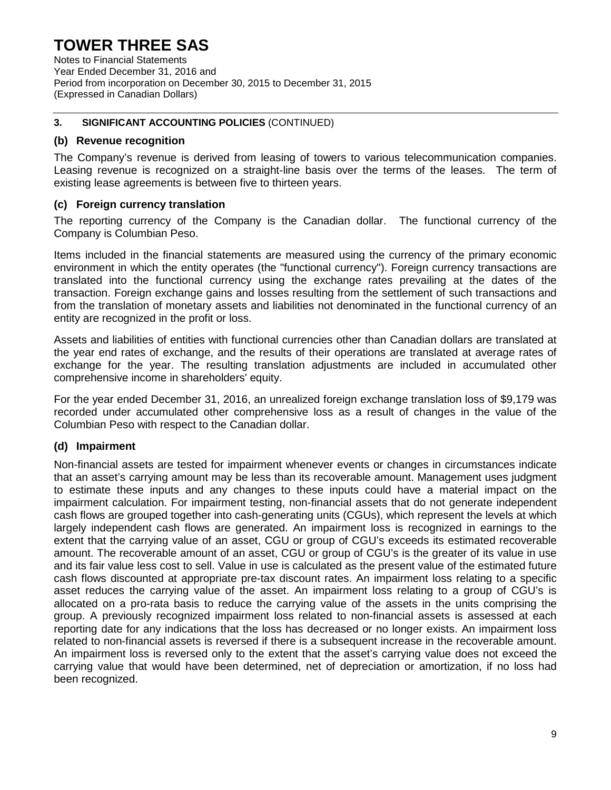Notes to Financial Statements Year Ended December 31, 2016 and Period from incorporation on December 30, 2015 to December 31, 2015 (Expressed in Canadian Dollars)

#### **3. SIGNIFICANT ACCOUNTING POLICIES** (CONTINUED)

#### **(b) Revenue recognition**

The Company's revenue is derived from leasing of towers to various telecommunication companies. Leasing revenue is recognized on a straight-line basis over the terms of the leases. The term of existing lease agreements is between five to thirteen years.

#### **(c) Foreign currency translation**

The reporting currency of the Company is the Canadian dollar. The functional currency of the Company is Columbian Peso.

Items included in the financial statements are measured using the currency of the primary economic environment in which the entity operates (the "functional currency"). Foreign currency transactions are translated into the functional currency using the exchange rates prevailing at the dates of the transaction. Foreign exchange gains and losses resulting from the settlement of such transactions and from the translation of monetary assets and liabilities not denominated in the functional currency of an entity are recognized in the profit or loss.

Assets and liabilities of entities with functional currencies other than Canadian dollars are translated at the year end rates of exchange, and the results of their operations are translated at average rates of exchange for the year. The resulting translation adjustments are included in accumulated other comprehensive income in shareholders' equity.

For the year ended December 31, 2016, an unrealized foreign exchange translation loss of \$9,179 was recorded under accumulated other comprehensive loss as a result of changes in the value of the Columbian Peso with respect to the Canadian dollar.

### **(d) Impairment**

Non-financial assets are tested for impairment whenever events or changes in circumstances indicate that an asset's carrying amount may be less than its recoverable amount. Management uses judgment to estimate these inputs and any changes to these inputs could have a material impact on the impairment calculation. For impairment testing, non-financial assets that do not generate independent cash flows are grouped together into cash-generating units (CGUs), which represent the levels at which largely independent cash flows are generated. An impairment loss is recognized in earnings to the extent that the carrying value of an asset, CGU or group of CGU's exceeds its estimated recoverable amount. The recoverable amount of an asset, CGU or group of CGU's is the greater of its value in use and its fair value less cost to sell. Value in use is calculated as the present value of the estimated future cash flows discounted at appropriate pre-tax discount rates. An impairment loss relating to a specific asset reduces the carrying value of the asset. An impairment loss relating to a group of CGU's is allocated on a pro-rata basis to reduce the carrying value of the assets in the units comprising the group. A previously recognized impairment loss related to non-financial assets is assessed at each reporting date for any indications that the loss has decreased or no longer exists. An impairment loss related to non-financial assets is reversed if there is a subsequent increase in the recoverable amount. An impairment loss is reversed only to the extent that the asset's carrying value does not exceed the carrying value that would have been determined, net of depreciation or amortization, if no loss had been recognized.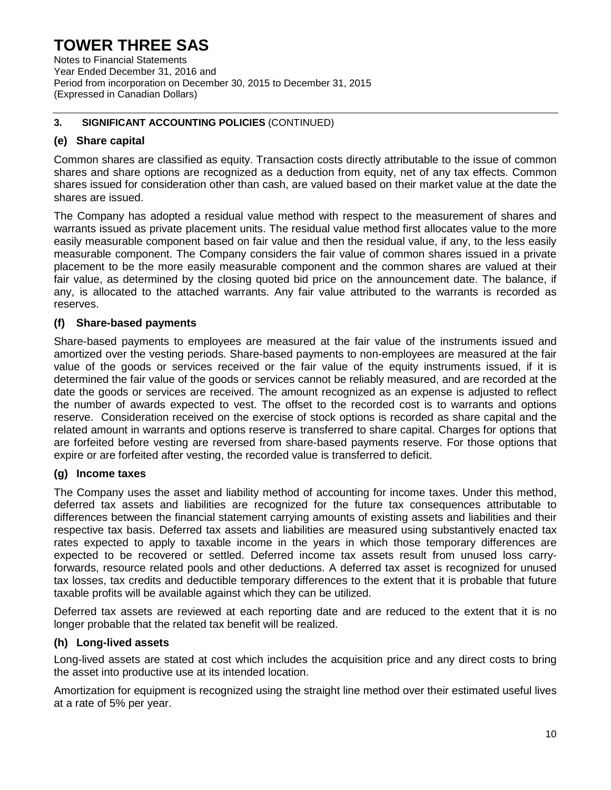Notes to Financial Statements Year Ended December 31, 2016 and Period from incorporation on December 30, 2015 to December 31, 2015 (Expressed in Canadian Dollars)

### **3. SIGNIFICANT ACCOUNTING POLICIES** (CONTINUED)

### **(e) Share capital**

Common shares are classified as equity. Transaction costs directly attributable to the issue of common shares and share options are recognized as a deduction from equity, net of any tax effects. Common shares issued for consideration other than cash, are valued based on their market value at the date the shares are issued.

The Company has adopted a residual value method with respect to the measurement of shares and warrants issued as private placement units. The residual value method first allocates value to the more easily measurable component based on fair value and then the residual value, if any, to the less easily measurable component. The Company considers the fair value of common shares issued in a private placement to be the more easily measurable component and the common shares are valued at their fair value, as determined by the closing quoted bid price on the announcement date. The balance, if any, is allocated to the attached warrants. Any fair value attributed to the warrants is recorded as reserves.

## **(f) Share-based payments**

Share-based payments to employees are measured at the fair value of the instruments issued and amortized over the vesting periods. Share-based payments to non-employees are measured at the fair value of the goods or services received or the fair value of the equity instruments issued, if it is determined the fair value of the goods or services cannot be reliably measured, and are recorded at the date the goods or services are received. The amount recognized as an expense is adjusted to reflect the number of awards expected to vest. The offset to the recorded cost is to warrants and options reserve. Consideration received on the exercise of stock options is recorded as share capital and the related amount in warrants and options reserve is transferred to share capital. Charges for options that are forfeited before vesting are reversed from share-based payments reserve. For those options that expire or are forfeited after vesting, the recorded value is transferred to deficit.

### **(g) Income taxes**

The Company uses the asset and liability method of accounting for income taxes. Under this method, deferred tax assets and liabilities are recognized for the future tax consequences attributable to differences between the financial statement carrying amounts of existing assets and liabilities and their respective tax basis. Deferred tax assets and liabilities are measured using substantively enacted tax rates expected to apply to taxable income in the years in which those temporary differences are expected to be recovered or settled. Deferred income tax assets result from unused loss carryforwards, resource related pools and other deductions. A deferred tax asset is recognized for unused tax losses, tax credits and deductible temporary differences to the extent that it is probable that future taxable profits will be available against which they can be utilized.

Deferred tax assets are reviewed at each reporting date and are reduced to the extent that it is no longer probable that the related tax benefit will be realized.

### **(h) Long-lived assets**

Long-lived assets are stated at cost which includes the acquisition price and any direct costs to bring the asset into productive use at its intended location.

Amortization for equipment is recognized using the straight line method over their estimated useful lives at a rate of 5% per year.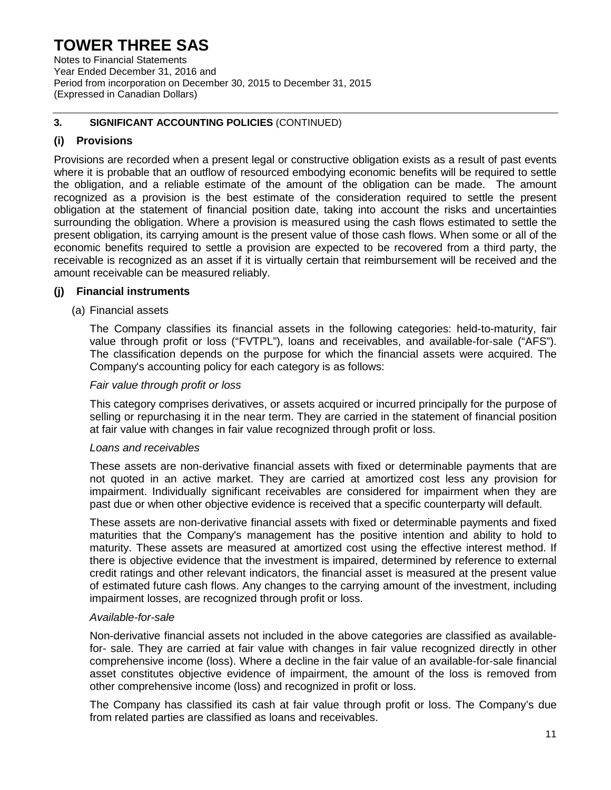Notes to Financial Statements Year Ended December 31, 2016 and Period from incorporation on December 30, 2015 to December 31, 2015 (Expressed in Canadian Dollars)

### **3. SIGNIFICANT ACCOUNTING POLICIES** (CONTINUED)

### **(i) Provisions**

Provisions are recorded when a present legal or constructive obligation exists as a result of past events where it is probable that an outflow of resourced embodying economic benefits will be required to settle the obligation, and a reliable estimate of the amount of the obligation can be made. The amount recognized as a provision is the best estimate of the consideration required to settle the present obligation at the statement of financial position date, taking into account the risks and uncertainties surrounding the obligation. Where a provision is measured using the cash flows estimated to settle the present obligation, its carrying amount is the present value of those cash flows. When some or all of the economic benefits required to settle a provision are expected to be recovered from a third party, the receivable is recognized as an asset if it is virtually certain that reimbursement will be received and the amount receivable can be measured reliably.

### **(j) Financial instruments**

#### (a) Financial assets

The Company classifies its financial assets in the following categories: held-to-maturity, fair value through profit or loss ("FVTPL"), loans and receivables, and available-for-sale ("AFS"). The classification depends on the purpose for which the financial assets were acquired. The Company's accounting policy for each category is as follows:

#### *Fair value through profit or loss*

This category comprises derivatives, or assets acquired or incurred principally for the purpose of selling or repurchasing it in the near term. They are carried in the statement of financial position at fair value with changes in fair value recognized through profit or loss.

#### *Loans and receivables*

These assets are non-derivative financial assets with fixed or determinable payments that are not quoted in an active market. They are carried at amortized cost less any provision for impairment. Individually significant receivables are considered for impairment when they are past due or when other objective evidence is received that a specific counterparty will default.

These assets are non-derivative financial assets with fixed or determinable payments and fixed maturities that the Company's management has the positive intention and ability to hold to maturity. These assets are measured at amortized cost using the effective interest method. If there is objective evidence that the investment is impaired, determined by reference to external credit ratings and other relevant indicators, the financial asset is measured at the present value of estimated future cash flows. Any changes to the carrying amount of the investment, including impairment losses, are recognized through profit or loss.

#### *Available-for-sale*

Non-derivative financial assets not included in the above categories are classified as availablefor- sale. They are carried at fair value with changes in fair value recognized directly in other comprehensive income (loss). Where a decline in the fair value of an available-for-sale financial asset constitutes objective evidence of impairment, the amount of the loss is removed from other comprehensive income (loss) and recognized in profit or loss.

The Company has classified its cash at fair value through profit or loss. The Company's due from related parties are classified as loans and receivables.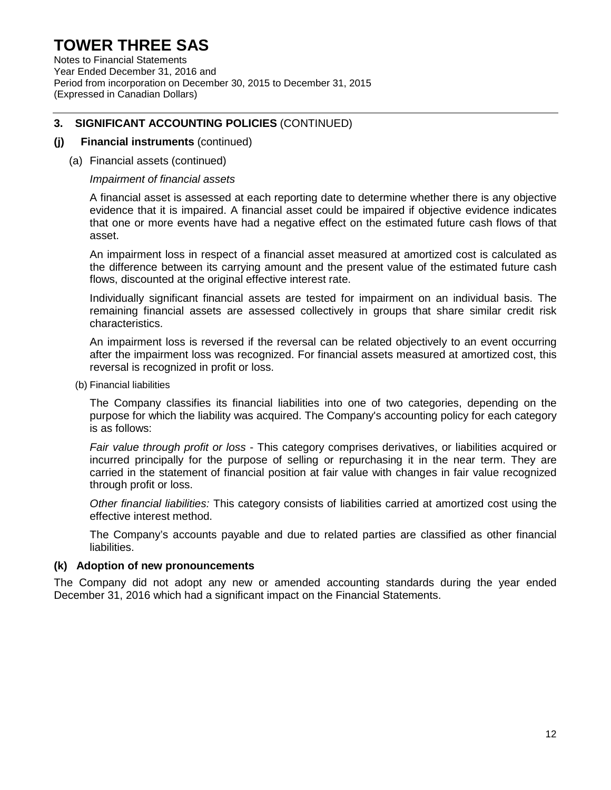Notes to Financial Statements Year Ended December 31, 2016 and Period from incorporation on December 30, 2015 to December 31, 2015 (Expressed in Canadian Dollars)

## **3. SIGNIFICANT ACCOUNTING POLICIES** (CONTINUED)

#### **(j) Financial instruments** (continued)

(a) Financial assets (continued)

#### *Impairment of financial assets*

A financial asset is assessed at each reporting date to determine whether there is any objective evidence that it is impaired. A financial asset could be impaired if objective evidence indicates that one or more events have had a negative effect on the estimated future cash flows of that asset.

An impairment loss in respect of a financial asset measured at amortized cost is calculated as the difference between its carrying amount and the present value of the estimated future cash flows, discounted at the original effective interest rate.

Individually significant financial assets are tested for impairment on an individual basis. The remaining financial assets are assessed collectively in groups that share similar credit risk characteristics.

An impairment loss is reversed if the reversal can be related objectively to an event occurring after the impairment loss was recognized. For financial assets measured at amortized cost, this reversal is recognized in profit or loss.

(b) Financial liabilities

The Company classifies its financial liabilities into one of two categories, depending on the purpose for which the liability was acquired. The Company's accounting policy for each category is as follows:

*Fair value through profit or loss* - This category comprises derivatives, or liabilities acquired or incurred principally for the purpose of selling or repurchasing it in the near term. They are carried in the statement of financial position at fair value with changes in fair value recognized through profit or loss.

*Other financial liabilities:* This category consists of liabilities carried at amortized cost using the effective interest method.

The Company's accounts payable and due to related parties are classified as other financial liabilities.

#### **(k) Adoption of new pronouncements**

The Company did not adopt any new or amended accounting standards during the year ended December 31, 2016 which had a significant impact on the Financial Statements.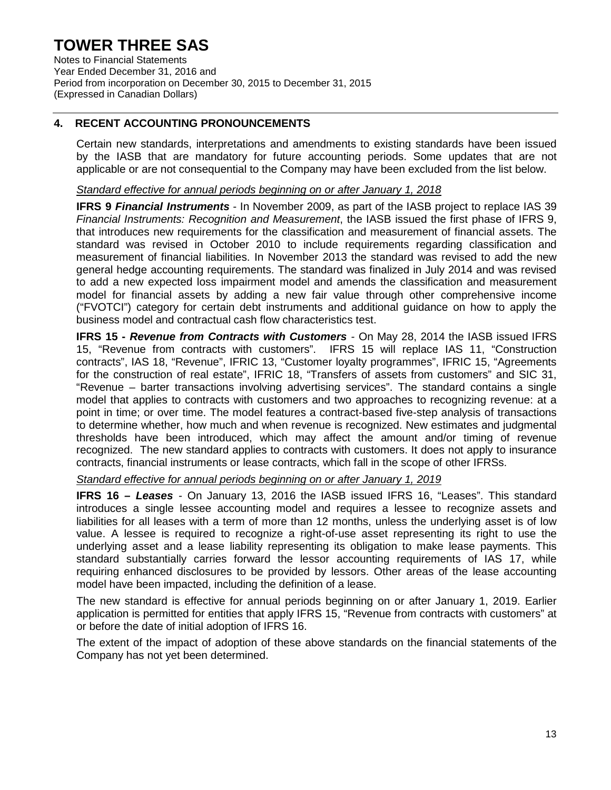Notes to Financial Statements Year Ended December 31, 2016 and Period from incorporation on December 30, 2015 to December 31, 2015 (Expressed in Canadian Dollars)

## **4. RECENT ACCOUNTING PRONOUNCEMENTS**

Certain new standards, interpretations and amendments to existing standards have been issued by the IASB that are mandatory for future accounting periods. Some updates that are not applicable or are not consequential to the Company may have been excluded from the list below.

#### *Standard effective for annual periods beginning on or after January 1, 2018*

**IFRS 9** *Financial Instruments* - In November 2009, as part of the IASB project to replace IAS 39 *Financial Instruments: Recognition and Measurement*, the IASB issued the first phase of IFRS 9, that introduces new requirements for the classification and measurement of financial assets. The standard was revised in October 2010 to include requirements regarding classification and measurement of financial liabilities. In November 2013 the standard was revised to add the new general hedge accounting requirements. The standard was finalized in July 2014 and was revised to add a new expected loss impairment model and amends the classification and measurement model for financial assets by adding a new fair value through other comprehensive income ("FVOTCI") category for certain debt instruments and additional guidance on how to apply the business model and contractual cash flow characteristics test.

**IFRS 15 -** *Revenue from Contracts with Customers -* On May 28, 2014 the IASB issued IFRS 15, "Revenue from contracts with customers". IFRS 15 will replace IAS 11, "Construction contracts", IAS 18, "Revenue", IFRIC 13, "Customer loyalty programmes", IFRIC 15, "Agreements for the construction of real estate", IFRIC 18, "Transfers of assets from customers" and SIC 31, "Revenue – barter transactions involving advertising services". The standard contains a single model that applies to contracts with customers and two approaches to recognizing revenue: at a point in time; or over time. The model features a contract-based five-step analysis of transactions to determine whether, how much and when revenue is recognized. New estimates and judgmental thresholds have been introduced, which may affect the amount and/or timing of revenue recognized. The new standard applies to contracts with customers. It does not apply to insurance contracts, financial instruments or lease contracts, which fall in the scope of other IFRSs.

*Standard effective for annual periods beginning on or after January 1, 2019*

**IFRS 16** *– Leases -* On January 13, 2016 the IASB issued IFRS 16, "Leases". This standard introduces a single lessee accounting model and requires a lessee to recognize assets and liabilities for all leases with a term of more than 12 months, unless the underlying asset is of low value. A lessee is required to recognize a right-of-use asset representing its right to use the underlying asset and a lease liability representing its obligation to make lease payments. This standard substantially carries forward the lessor accounting requirements of IAS 17, while requiring enhanced disclosures to be provided by lessors. Other areas of the lease accounting model have been impacted, including the definition of a lease.

The new standard is effective for annual periods beginning on or after January 1, 2019. Earlier application is permitted for entities that apply IFRS 15, "Revenue from contracts with customers" at or before the date of initial adoption of IFRS 16.

The extent of the impact of adoption of these above standards on the financial statements of the Company has not yet been determined.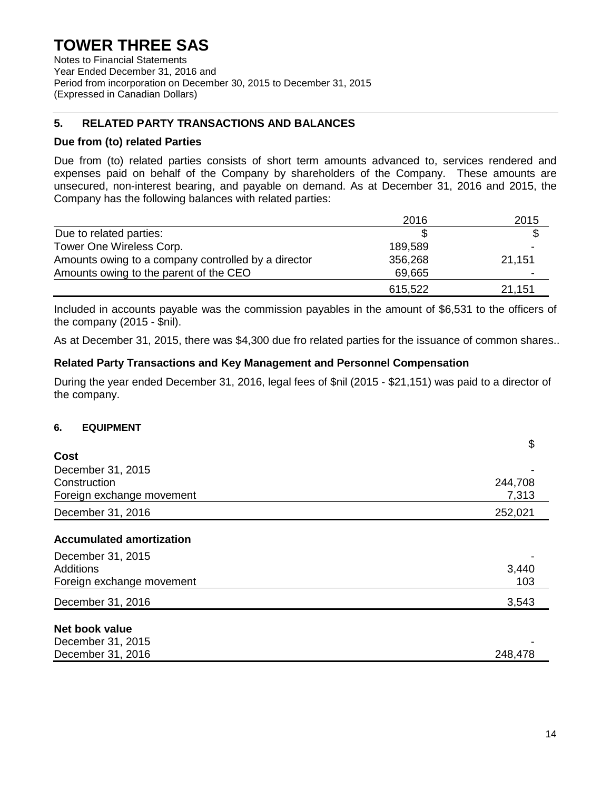Notes to Financial Statements Year Ended December 31, 2016 and Period from incorporation on December 30, 2015 to December 31, 2015 (Expressed in Canadian Dollars)

### **5. RELATED PARTY TRANSACTIONS AND BALANCES**

#### **Due from (to) related Parties**

Due from (to) related parties consists of short term amounts advanced to, services rendered and expenses paid on behalf of the Company by shareholders of the Company. These amounts are unsecured, non-interest bearing, and payable on demand. As at December 31, 2016 and 2015, the Company has the following balances with related parties:

|                                                     | 2016    | 2015   |
|-----------------------------------------------------|---------|--------|
| Due to related parties:                             |         |        |
| Tower One Wireless Corp.                            | 189,589 |        |
| Amounts owing to a company controlled by a director | 356,268 | 21,151 |
| Amounts owing to the parent of the CEO              | 69,665  |        |
|                                                     | 615,522 | 21,151 |

Included in accounts payable was the commission payables in the amount of \$6,531 to the officers of the company (2015 - \$nil).

As at December 31, 2015, there was \$4,300 due fro related parties for the issuance of common shares..

#### **Related Party Transactions and Key Management and Personnel Compensation**

During the year ended December 31, 2016, legal fees of \$nil (2015 - \$21,151) was paid to a director of the company.

#### **6. EQUIPMENT**

|                                 | $\boldsymbol{\theta}$ |
|---------------------------------|-----------------------|
| <b>Cost</b>                     |                       |
| December 31, 2015               |                       |
| Construction                    | 244,708               |
| Foreign exchange movement       | 7,313                 |
| December 31, 2016               | 252,021               |
| <b>Accumulated amortization</b> |                       |
| December 31, 2015               |                       |
| Additions                       | 3,440                 |
| Foreign exchange movement       | 103                   |
| December 31, 2016               | 3,543                 |
| Net book value                  |                       |
| December 31, 2015               |                       |
| December 31, 2016               | 248,478               |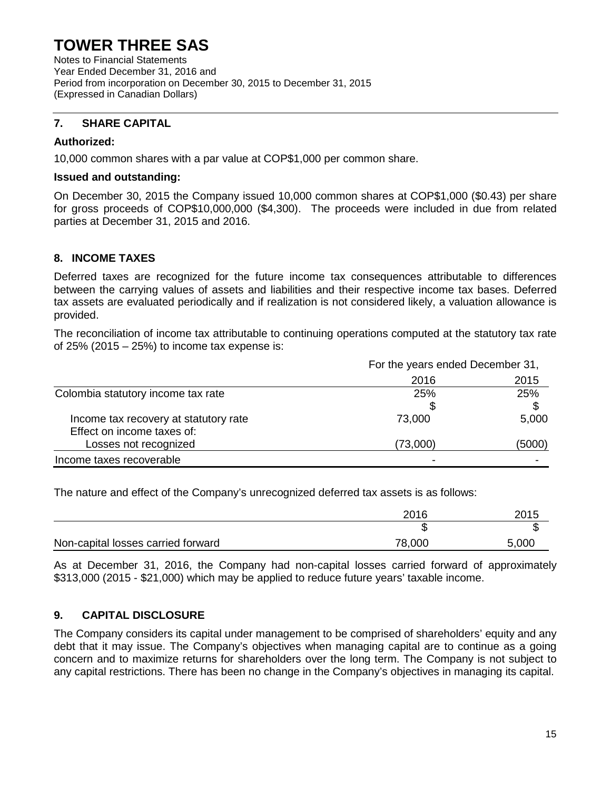Notes to Financial Statements Year Ended December 31, 2016 and Period from incorporation on December 30, 2015 to December 31, 2015 (Expressed in Canadian Dollars)

## **7. SHARE CAPITAL**

### **Authorized:**

10,000 common shares with a par value at COP\$1,000 per common share.

#### **Issued and outstanding:**

On December 30, 2015 the Company issued 10,000 common shares at COP\$1,000 (\$0.43) per share for gross proceeds of COP\$10,000,000 (\$4,300). The proceeds were included in due from related parties at December 31, 2015 and 2016.

### **8. INCOME TAXES**

Deferred taxes are recognized for the future income tax consequences attributable to differences between the carrying values of assets and liabilities and their respective income tax bases. Deferred tax assets are evaluated periodically and if realization is not considered likely, a valuation allowance is provided.

The reconciliation of income tax attributable to continuing operations computed at the statutory tax rate of 25% (2015 – 25%) to income tax expense is:

|                                       | For the years ended December 31, |        |  |
|---------------------------------------|----------------------------------|--------|--|
|                                       | 2016                             | 2015   |  |
| Colombia statutory income tax rate    | 25%                              | 25%    |  |
|                                       |                                  |        |  |
| Income tax recovery at statutory rate | 73,000                           | 5,000  |  |
| Effect on income taxes of:            |                                  |        |  |
| Losses not recognized                 | (73,000)                         | (5000) |  |
| Income taxes recoverable              | -                                |        |  |

The nature and effect of the Company's unrecognized deferred tax assets is as follows:

|                                    | 2016   | 2015  |
|------------------------------------|--------|-------|
|                                    |        |       |
| Non-capital losses carried forward | 78,000 | 5,000 |

As at December 31, 2016, the Company had non-capital losses carried forward of approximately \$313,000 (2015 - \$21,000) which may be applied to reduce future years' taxable income.

## **9. CAPITAL DISCLOSURE**

The Company considers its capital under management to be comprised of shareholders' equity and any debt that it may issue. The Company's objectives when managing capital are to continue as a going concern and to maximize returns for shareholders over the long term. The Company is not subject to any capital restrictions. There has been no change in the Company's objectives in managing its capital.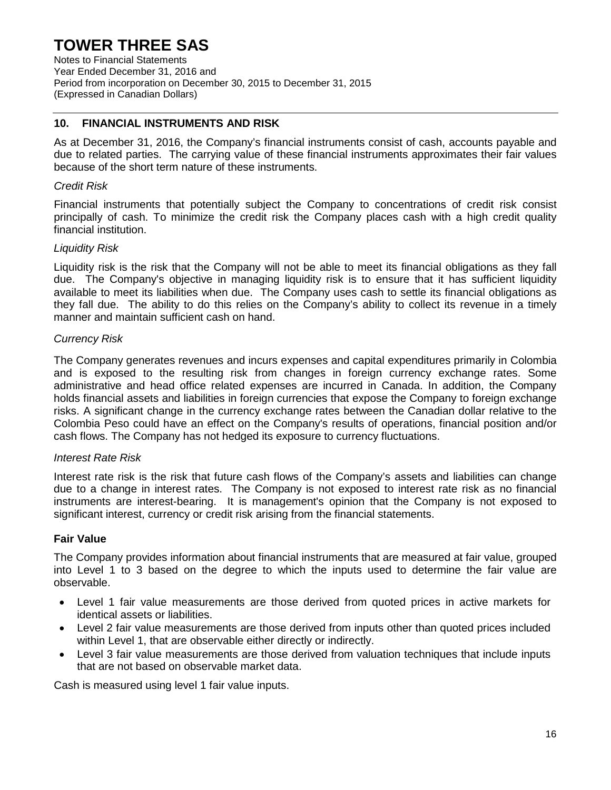Notes to Financial Statements Year Ended December 31, 2016 and Period from incorporation on December 30, 2015 to December 31, 2015 (Expressed in Canadian Dollars)

## **10. FINANCIAL INSTRUMENTS AND RISK**

As at December 31, 2016, the Company's financial instruments consist of cash, accounts payable and due to related parties. The carrying value of these financial instruments approximates their fair values because of the short term nature of these instruments.

#### *Credit Risk*

Financial instruments that potentially subject the Company to concentrations of credit risk consist principally of cash. To minimize the credit risk the Company places cash with a high credit quality financial institution.

### *Liquidity Risk*

Liquidity risk is the risk that the Company will not be able to meet its financial obligations as they fall due. The Company's objective in managing liquidity risk is to ensure that it has sufficient liquidity available to meet its liabilities when due. The Company uses cash to settle its financial obligations as they fall due. The ability to do this relies on the Company's ability to collect its revenue in a timely manner and maintain sufficient cash on hand.

#### *Currency Risk*

The Company generates revenues and incurs expenses and capital expenditures primarily in Colombia and is exposed to the resulting risk from changes in foreign currency exchange rates. Some administrative and head office related expenses are incurred in Canada. In addition, the Company holds financial assets and liabilities in foreign currencies that expose the Company to foreign exchange risks. A significant change in the currency exchange rates between the Canadian dollar relative to the Colombia Peso could have an effect on the Company's results of operations, financial position and/or cash flows. The Company has not hedged its exposure to currency fluctuations.

#### *Interest Rate Risk*

Interest rate risk is the risk that future cash flows of the Company's assets and liabilities can change due to a change in interest rates. The Company is not exposed to interest rate risk as no financial instruments are interest-bearing. It is management's opinion that the Company is not exposed to significant interest, currency or credit risk arising from the financial statements.

### **Fair Value**

The Company provides information about financial instruments that are measured at fair value, grouped into Level 1 to 3 based on the degree to which the inputs used to determine the fair value are observable.

- Level 1 fair value measurements are those derived from quoted prices in active markets for identical assets or liabilities.
- Level 2 fair value measurements are those derived from inputs other than quoted prices included within Level 1, that are observable either directly or indirectly.
- Level 3 fair value measurements are those derived from valuation techniques that include inputs that are not based on observable market data.

Cash is measured using level 1 fair value inputs.